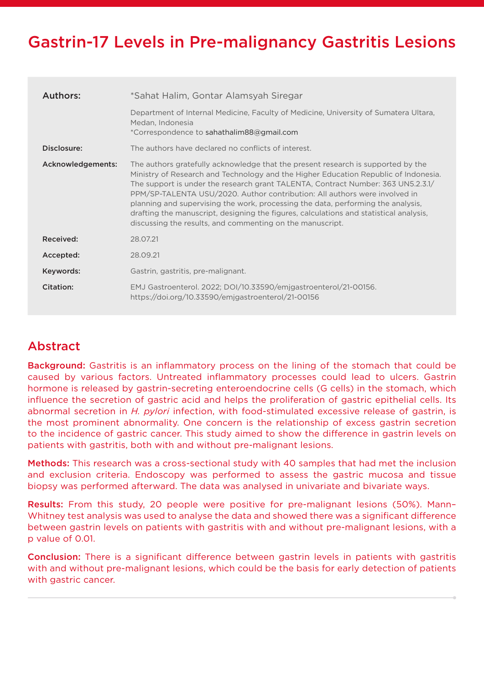# Gastrin-17 Levels in Pre-malignancy Gastritis Lesions

| Authors:          | *Sahat Halim, Gontar Alamsyah Siregar                                                                                                                                                                                                                                                                                                                                                                                                                                                                                                                                                |
|-------------------|--------------------------------------------------------------------------------------------------------------------------------------------------------------------------------------------------------------------------------------------------------------------------------------------------------------------------------------------------------------------------------------------------------------------------------------------------------------------------------------------------------------------------------------------------------------------------------------|
|                   | Department of Internal Medicine, Faculty of Medicine, University of Sumatera Ultara,<br>Medan, Indonesia<br>*Correspondence to sahathalim88@gmail.com                                                                                                                                                                                                                                                                                                                                                                                                                                |
| Disclosure:       | The authors have declared no conflicts of interest.                                                                                                                                                                                                                                                                                                                                                                                                                                                                                                                                  |
| Acknowledgements: | The authors gratefully acknowledge that the present research is supported by the<br>Ministry of Research and Technology and the Higher Education Republic of Indonesia.<br>The support is under the research grant TALENTA, Contract Number: 363 UN5.2.3.1/<br>PPM/SP-TALENTA USU/2020. Author contribution: All authors were involved in<br>planning and supervising the work, processing the data, performing the analysis,<br>drafting the manuscript, designing the figures, calculations and statistical analysis,<br>discussing the results, and commenting on the manuscript. |
| Received:         | 28.07.21                                                                                                                                                                                                                                                                                                                                                                                                                                                                                                                                                                             |
| Accepted:         | 28.09.21                                                                                                                                                                                                                                                                                                                                                                                                                                                                                                                                                                             |
| Keywords:         | Gastrin, gastritis, pre-malignant.                                                                                                                                                                                                                                                                                                                                                                                                                                                                                                                                                   |
| Citation:         | EMJ Gastroenterol. 2022; DOI/10.33590/emjgastroenterol/21-00156.<br>https://doi.org/10.33590/emigastroenterol/21-00156                                                                                                                                                                                                                                                                                                                                                                                                                                                               |

# Abstract

Background: Gastritis is an inflammatory process on the lining of the stomach that could be caused by various factors. Untreated inflammatory processes could lead to ulcers. Gastrin hormone is released by gastrin-secreting enteroendocrine cells (G cells) in the stomach, which influence the secretion of gastric acid and helps the proliferation of gastric epithelial cells. Its abnormal secretion in *H. pylori* infection, with food-stimulated excessive release of gastrin, is the most prominent abnormality. One concern is the relationship of excess gastrin secretion to the incidence of gastric cancer. This study aimed to show the difference in gastrin levels on patients with gastritis, both with and without pre-malignant lesions.

Methods: This research was a cross-sectional study with 40 samples that had met the inclusion and exclusion criteria. Endoscopy was performed to assess the gastric mucosa and tissue biopsy was performed afterward. The data was analysed in univariate and bivariate ways.

Results: From this study, 20 people were positive for pre-malignant lesions (50%). Mann– Whitney test analysis was used to analyse the data and showed there was a significant difference between gastrin levels on patients with gastritis with and without pre-malignant lesions, with a p value of 0.01.

Conclusion: There is a significant difference between gastrin levels in patients with gastritis with and without pre-malignant lesions, which could be the basis for early detection of patients with gastric cancer.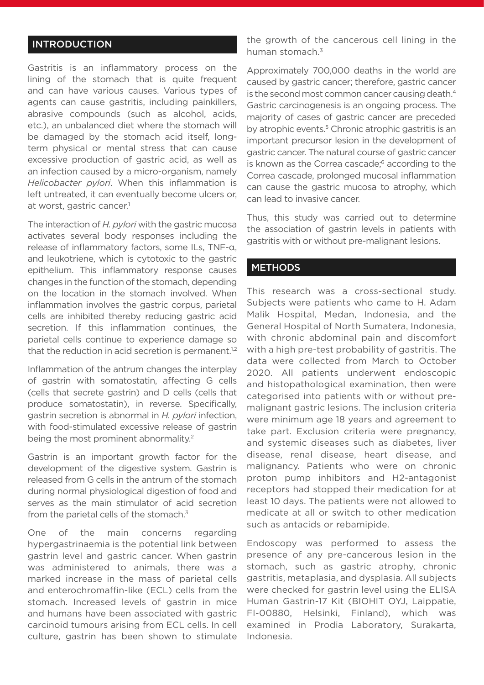### **INTRODUCTION**

Gastritis is an inflammatory process on the lining of the stomach that is quite frequent and can have various causes. Various types of agents can cause gastritis, including painkillers, abrasive compounds (such as alcohol, acids, etc.), an unbalanced diet where the stomach will be damaged by the stomach acid itself, longterm physical or mental stress that can cause excessive production of gastric acid, as well as an infection caused by a micro-organism, namely *Helicobacter pylori*. When this inflammation is left untreated, it can eventually become ulcers or, at worst, gastric cancer.<sup>1</sup>

The interaction of *H. pylori* with the gastric mucosa activates several body responses including the release of inflammatory factors, some ILs, TNF-α, and leukotriene, which is cytotoxic to the gastric epithelium. This inflammatory response causes changes in the function of the stomach, depending on the location in the stomach involved. When inflammation involves the gastric corpus, parietal cells are inhibited thereby reducing gastric acid secretion. If this inflammation continues, the parietal cells continue to experience damage so that the reduction in acid secretion is permanent. $1,2$ 

Inflammation of the antrum changes the interplay of gastrin with somatostatin, affecting G cells (cells that secrete gastrin) and D cells (cells that produce somatostatin), in reverse. Specifically, gastrin secretion is abnormal in *H. pylori* infection, with food-stimulated excessive release of gastrin being the most prominent abnormality.<sup>2</sup>

Gastrin is an important growth factor for the development of the digestive system. Gastrin is released from G cells in the antrum of the stomach during normal physiological digestion of food and serves as the main stimulator of acid secretion from the parietal cells of the stomach.<sup>3</sup>

One of the main concerns regarding hypergastrinaemia is the potential link between gastrin level and gastric cancer. When gastrin was administered to animals, there was a marked increase in the mass of parietal cells and enterochromaffin-like (ECL) cells from the stomach. Increased levels of gastrin in mice and humans have been associated with gastric carcinoid tumours arising from ECL cells. In cell culture, gastrin has been shown to stimulate the growth of the cancerous cell lining in the human stomach.<sup>3</sup>

Approximately 700,000 deaths in the world are caused by gastric cancer; therefore, gastric cancer is the second most common cancer causing death.<sup>4</sup> Gastric carcinogenesis is an ongoing process. The majority of cases of gastric cancer are preceded by atrophic events.<sup>5</sup> Chronic atrophic gastritis is an important precursor lesion in the development of gastric cancer. The natural course of gastric cancer is known as the Correa cascade;<sup>6</sup> according to the Correa cascade, prolonged mucosal inflammation can cause the gastric mucosa to atrophy, which can lead to invasive cancer.

Thus, this study was carried out to determine the association of gastrin levels in patients with gastritis with or without pre-malignant lesions.

#### **METHODS**

This research was a cross-sectional study. Subjects were patients who came to H. Adam Malik Hospital, Medan, Indonesia, and the General Hospital of North Sumatera, Indonesia, with chronic abdominal pain and discomfort with a high pre-test probability of gastritis. The data were collected from March to October 2020. All patients underwent endoscopic and histopathological examination, then were categorised into patients with or without premalignant gastric lesions. The inclusion criteria were minimum age 18 years and agreement to take part. Exclusion criteria were pregnancy, and systemic diseases such as diabetes, liver disease, renal disease, heart disease, and malignancy. Patients who were on chronic proton pump inhibitors and H2-antagonist receptors had stopped their medication for at least 10 days. The patients were not allowed to medicate at all or switch to other medication such as antacids or rebamipide.

Endoscopy was performed to assess the presence of any pre-cancerous lesion in the stomach, such as gastric atrophy, chronic gastritis, metaplasia, and dysplasia. All subjects were checked for gastrin level using the ELISA Human Gastrin-17 Kit (BIOHIT OYJ, Laippatie, FI-00880, Helsinki, Finland), which was examined in Prodia Laboratory, Surakarta, Indonesia.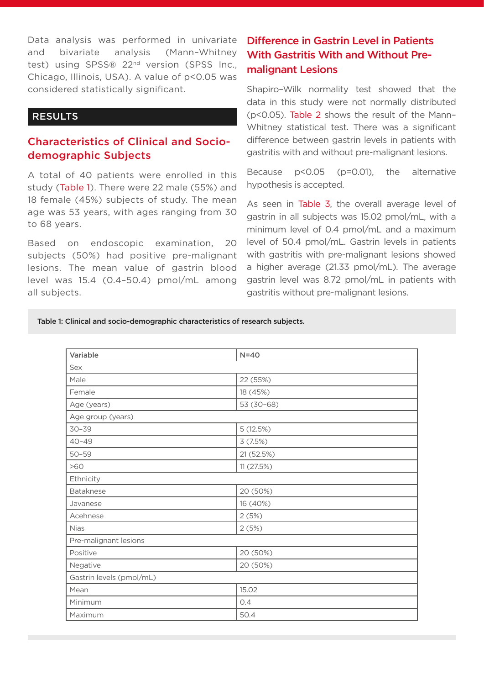Data analysis was performed in univariate and bivariate analysis (Mann–Whitney test) using SPSS® 22<sup>nd</sup> version (SPSS Inc., Chicago, Illinois, USA). A value of p<0.05 was considered statistically significant.

### RESULTS

### Characteristics of Clinical and Sociodemographic Subjects

A total of 40 patients were enrolled in this study (Table 1). There were 22 male (55%) and 18 female (45%) subjects of study. The mean age was 53 years, with ages ranging from 30 to 68 years.

Based on endoscopic examination, 20 subjects (50%) had positive pre-malignant lesions. The mean value of gastrin blood level was 15.4 (0.4–50.4) pmol/mL among all subjects.

## Difference in Gastrin Level in Patients With Gastritis With and Without Premalignant Lesions

Shapiro–Wilk normality test showed that the data in this study were not normally distributed (p<0.05). Table 2 shows the result of the Mann– Whitney statistical test. There was a significant difference between gastrin levels in patients with gastritis with and without pre-malignant lesions.

Because p<0.05 (p=0.01), the alternative hypothesis is accepted.

As seen in Table 3, the overall average level of gastrin in all subjects was 15.02 pmol/mL, with a minimum level of 0.4 pmol/mL and a maximum level of 50.4 pmol/mL. Gastrin levels in patients with gastritis with pre-malignant lesions showed a higher average (21.33 pmol/mL). The average gastrin level was 8.72 pmol/mL in patients with gastritis without pre-malignant lesions.

Table 1: Clinical and socio-demographic characteristics of research subjects.

| Variable                 | $N=40$     |  |  |  |  |
|--------------------------|------------|--|--|--|--|
| Sex                      |            |  |  |  |  |
| Male                     | 22 (55%)   |  |  |  |  |
| Female                   | 18 (45%)   |  |  |  |  |
| Age (years)              | 53 (30-68) |  |  |  |  |
| Age group (years)        |            |  |  |  |  |
| $30 - 39$                | 5(12.5%)   |  |  |  |  |
| $40 - 49$                | 3(7.5%)    |  |  |  |  |
| $50 - 59$                | 21 (52.5%) |  |  |  |  |
| >60                      | 11 (27.5%) |  |  |  |  |
| Ethnicity                |            |  |  |  |  |
| Bataknese                | 20 (50%)   |  |  |  |  |
| Javanese                 | 16 (40%)   |  |  |  |  |
| Acehnese                 | 2(5%)      |  |  |  |  |
| <b>Nias</b>              | 2(5%)      |  |  |  |  |
| Pre-malignant lesions    |            |  |  |  |  |
| Positive                 | 20 (50%)   |  |  |  |  |
| Negative                 | 20 (50%)   |  |  |  |  |
| Gastrin levels (pmol/mL) |            |  |  |  |  |
| Mean                     | 15.02      |  |  |  |  |
| Minimum                  | 0.4        |  |  |  |  |
| Maximum                  | 50.4       |  |  |  |  |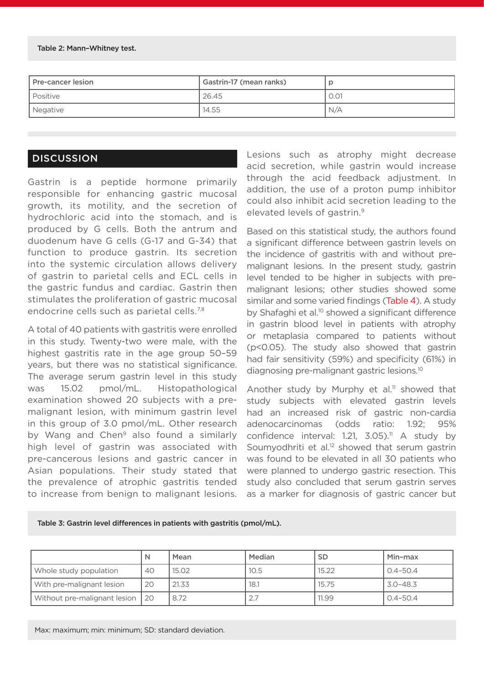#### Table 2: Mann–Whitney test.

| l Pre-cancer lesion | Gastrin-17 (mean ranks) |      |
|---------------------|-------------------------|------|
| l Positive          | 126.45                  | 0.01 |
| Negative            | 14.55                   | N/A  |

### **DISCUSSION**

Gastrin is a peptide hormone primarily responsible for enhancing gastric mucosal growth, its motility, and the secretion of hydrochloric acid into the stomach, and is produced by G cells. Both the antrum and duodenum have G cells (G-17 and G-34) that function to produce gastrin. Its secretion into the systemic circulation allows delivery of gastrin to parietal cells and ECL cells in the gastric fundus and cardiac. Gastrin then stimulates the proliferation of gastric mucosal endocrine cells such as parietal cells.<sup>7,8</sup>

A total of 40 patients with gastritis were enrolled in this study. Twenty-two were male, with the highest gastritis rate in the age group 50–59 years, but there was no statistical significance. The average serum gastrin level in this study was 15.02 pmol/mL. Histopathological examination showed 20 subjects with a premalignant lesion, with minimum gastrin level in this group of 3.0 pmol/mL. Other research by Wang and Chen<sup>9</sup> also found a similarly high level of gastrin was associated with pre-cancerous lesions and gastric cancer in Asian populations. Their study stated that the prevalence of atrophic gastritis tended to increase from benign to malignant lesions. Lesions such as atrophy might decrease acid secretion, while gastrin would increase through the acid feedback adjustment. In addition, the use of a proton pump inhibitor could also inhibit acid secretion leading to the elevated levels of gastrin.9

Based on this statistical study, the authors found a significant difference between gastrin levels on the incidence of gastritis with and without premalignant lesions. In the present study, gastrin level tended to be higher in subjects with premalignant lesions; other studies showed some similar and some varied findings (Table 4). A study by Shafaghi et al.<sup>10</sup> showed a significant difference in gastrin blood level in patients with atrophy or metaplasia compared to patients without (p<0.05). The study also showed that gastrin had fair sensitivity (59%) and specificity (61%) in diagnosing pre-malignant gastric lesions.10

Another study by Murphy et al.<sup>11</sup> showed that study subjects with elevated gastrin levels had an increased risk of gastric non-cardia adenocarcinomas (odds ratio: 1.92; 95% confidence interval:  $1.21$ ,  $3.05$ ).<sup>11</sup> A study by Soumyodhriti et al.<sup>12</sup> showed that serum gastrin was found to be elevated in all 30 patients who were planned to undergo gastric resection. This study also concluded that serum gastrin serves as a marker for diagnosis of gastric cancer but

Table 3: Gastrin level differences in patients with gastritis (pmol/mL).

|                              | N    | Mean  | Median | <b>SD</b> | Min-max      |
|------------------------------|------|-------|--------|-----------|--------------|
| Whole study population       | 40   | 15.02 | 10.5   | 15.22     | $0.4 - 50.4$ |
| With pre-malignant lesion    | 20   | 21.33 | 18.1   | 15.75     | $3.0 - 48.3$ |
| Without pre-malignant lesion | l 20 | 8.72  | ۷.,    | 11.99     | $0.4 - 50.4$ |

Max: maximum; min: minimum; SD: standard deviation.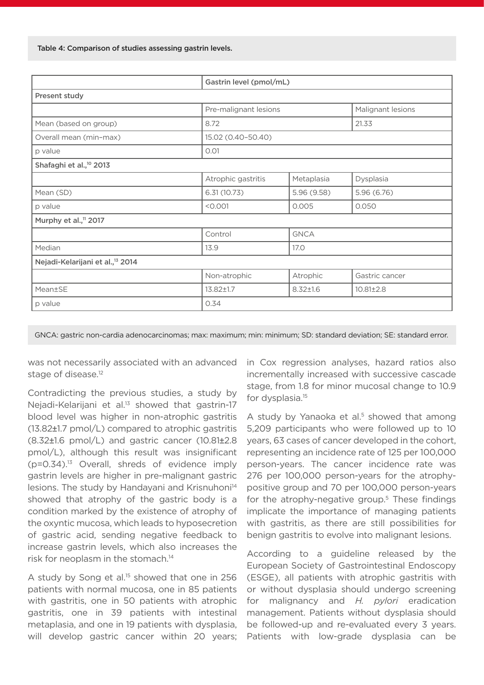|                                              | Gastrin level (pmol/mL) |                |                   |  |  |  |  |
|----------------------------------------------|-------------------------|----------------|-------------------|--|--|--|--|
| Present study                                |                         |                |                   |  |  |  |  |
|                                              | Pre-malignant lesions   |                | Malignant lesions |  |  |  |  |
| Mean (based on group)                        | 8.72                    |                | 21.33             |  |  |  |  |
| Overall mean (min-max)                       | 15.02 (0.40-50.40)      |                |                   |  |  |  |  |
| p value                                      | 0.01                    |                |                   |  |  |  |  |
| Shafaghi et al., <sup>10</sup> 2013          |                         |                |                   |  |  |  |  |
|                                              | Atrophic gastritis      | Metaplasia     | Dysplasia         |  |  |  |  |
| Mean (SD)                                    | 6.31(10.73)             | 5.96 (9.58)    | 5.96 (6.76)       |  |  |  |  |
| p value                                      | < 0.001                 | 0.005          | 0.050             |  |  |  |  |
| Murphy et al., <sup>11</sup> 2017            |                         |                |                   |  |  |  |  |
|                                              | Control                 | <b>GNCA</b>    |                   |  |  |  |  |
| Median                                       | 13.9                    | 17.0           |                   |  |  |  |  |
| Nejadi-Kelarijani et al., <sup>13</sup> 2014 |                         |                |                   |  |  |  |  |
|                                              | Non-atrophic            | Atrophic       | Gastric cancer    |  |  |  |  |
| Mean±SE                                      | $13.82 \pm 1.7$         | $8.32 \pm 1.6$ | $10.81 \pm 2.8$   |  |  |  |  |
| p value                                      | 0.34                    |                |                   |  |  |  |  |

GNCA: gastric non-cardia adenocarcinomas; max: maximum; min: minimum; SD: standard deviation; SE: standard error.

was not necessarily associated with an advanced stage of disease.<sup>12</sup>

Contradicting the previous studies, a study by Nejadi-Kelarijani et al.<sup>13</sup> showed that gastrin-17 blood level was higher in non-atrophic gastritis (13.82±1.7 pmol/L) compared to atrophic gastritis (8.32±1.6 pmol/L) and gastric cancer (10.81±2.8 pmol/L), although this result was insignificant  $(p=0.34).$ <sup>13</sup> Overall, shreds of evidence imply gastrin levels are higher in pre-malignant gastric lesions. The study by Handayani and Krisnuhoni<sup>14</sup> showed that atrophy of the gastric body is a condition marked by the existence of atrophy of the oxyntic mucosa, which leads to hyposecretion of gastric acid, sending negative feedback to increase gastrin levels, which also increases the risk for neoplasm in the stomach.<sup>14</sup>

A study by Song et al.15 showed that one in 256 patients with normal mucosa, one in 85 patients with gastritis, one in 50 patients with atrophic gastritis, one in 39 patients with intestinal metaplasia, and one in 19 patients with dysplasia, will develop gastric cancer within 20 years;

in Cox regression analyses, hazard ratios also incrementally increased with successive cascade stage, from 1.8 for minor mucosal change to 10.9 for dysplasia.15

A study by Yanaoka et al.<sup>5</sup> showed that among 5,209 participants who were followed up to 10 years, 63 cases of cancer developed in the cohort, representing an incidence rate of 125 per 100,000 person-years. The cancer incidence rate was 276 per 100,000 person-years for the atrophypositive group and 70 per 100,000 person-years for the atrophy-negative group.<sup>5</sup> These findings implicate the importance of managing patients with gastritis, as there are still possibilities for benign gastritis to evolve into malignant lesions.

According to a guideline released by the European Society of Gastrointestinal Endoscopy (ESGE), all patients with atrophic gastritis with or without dysplasia should undergo screening for malignancy and *H. pylori* eradication management. Patients without dysplasia should be followed-up and re-evaluated every 3 years. Patients with low-grade dysplasia can be